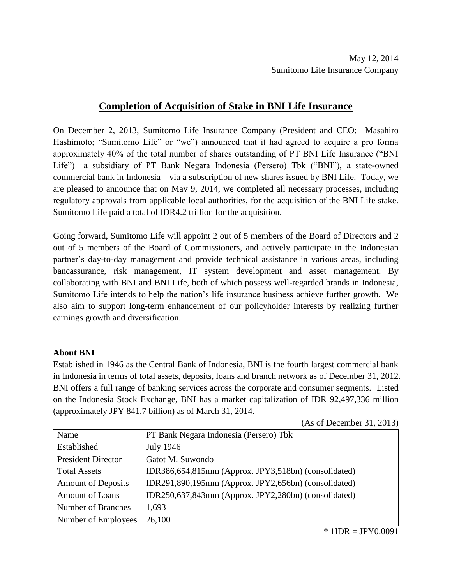## **Completion of Acquisition of Stake in BNI Life Insurance**

On December 2, 2013, Sumitomo Life Insurance Company (President and CEO: Masahiro Hashimoto; "Sumitomo Life" or "we") announced that it had agreed to acquire a pro forma approximately 40% of the total number of shares outstanding of PT BNI Life Insurance ("BNI Life")—a subsidiary of PT Bank Negara Indonesia (Persero) Tbk ("BNI"), a state-owned commercial bank in Indonesia—via a subscription of new shares issued by BNI Life. Today, we are pleased to announce that on May 9, 2014, we completed all necessary processes, including regulatory approvals from applicable local authorities, for the acquisition of the BNI Life stake. Sumitomo Life paid a total of IDR4.2 trillion for the acquisition.

Going forward, Sumitomo Life will appoint 2 out of 5 members of the Board of Directors and 2 out of 5 members of the Board of Commissioners, and actively participate in the Indonesian partner's day-to-day management and provide technical assistance in various areas, including bancassurance, risk management, IT system development and asset management. By collaborating with BNI and BNI Life, both of which possess well-regarded brands in Indonesia, Sumitomo Life intends to help the nation's life insurance business achieve further growth. We also aim to support long-term enhancement of our policyholder interests by realizing further earnings growth and diversification.

## **About BNI**

Established in 1946 as the Central Bank of Indonesia, BNI is the fourth largest commercial bank in Indonesia in terms of total assets, deposits, loans and branch network as of December 31, 2012. BNI offers a full range of banking services across the corporate and consumer segments. Listed on the Indonesia Stock Exchange, BNI has a market capitalization of IDR 92,497,336 million (approximately JPY 841.7 billion) as of March 31, 2014.

(As of December 31, 2013)

| Name                      | PT Bank Negara Indonesia (Persero) Tbk               |
|---------------------------|------------------------------------------------------|
| Established               | <b>July 1946</b>                                     |
| <b>President Director</b> | Gatot M. Suwondo                                     |
| <b>Total Assets</b>       | IDR386,654,815mm (Approx. JPY3,518bn) (consolidated) |
| <b>Amount of Deposits</b> | IDR291,890,195mm (Approx. JPY2,656bn) (consolidated) |
| <b>Amount of Loans</b>    | IDR250,637,843mm (Approx. JPY2,280bn) (consolidated) |
| Number of Branches        | 1,693                                                |
| Number of Employees       | 26,100                                               |

 $*$  1IDR = JPY0.0091